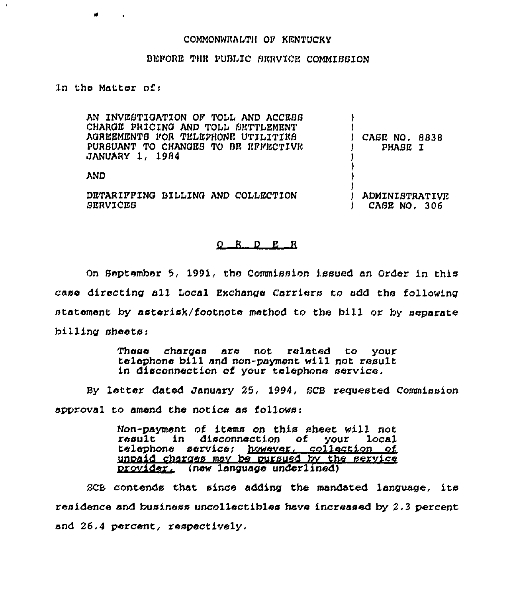## COMMONWEALTH OP KENTUCKY

## BEFORE THE PUBLIC SERVICE COMMISSION

In tha Matter of <sup>i</sup>

AN XNVEBTIGATION OP TOLL AND ACCESS CHARGE PRICING AND TOLL SETTLEMENT AGREEMENTS FOR TELEPHONE UTILITIES PURSUANT TO CHANGES TO BE EFFECTIVE JANUARY 1, 1984 AND DETARIFFING BILLING AND COLLECTION BERVXCEB ) ) ) CASE NO, 8838 ) PHASE I ) ) ) ) ) ADMINXSTRATX:VE ) CASE NO, 306

## $Q$  R  $D$  E R

On September 5, 1991, the Commission issued an Order in this case directing all Local Exchange Carriers to add the following statement by asterisk/footnote method to the bill or by separate billing sheets;

> These charges are not related to your telephone bill and non-payment will not result in disconnection of your telephone service.

By letter dated January 25, 1994, BCB requested Commission approval to amend the notice as follows:

> Non-payment nf items on this sheet will not result in disconnection of your local telephone services however, collection of unpaid charges may be pursued by the service orovider, (new language underlined)

BCE contends that since adding the mandated language, its residence and business uncollectibles have increased by 2,3 percent and 26.4 percent, respectively.